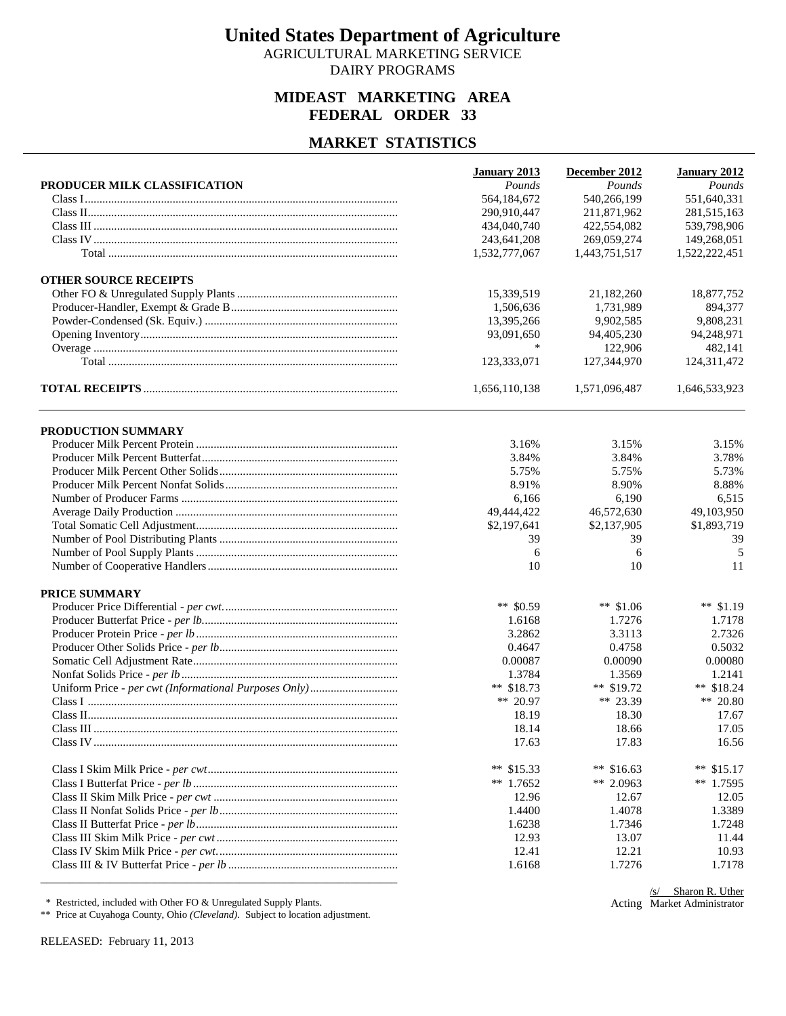AGRICULTURAL MARKETING SERVICE DAIRY PROGRAMS

## **MIDEAST MARKETING AREA FEDERAL ORDER 33**

#### **MARKET STATISTICS**

| 540,266,199<br>551,640,331<br>564,184,672<br>290,910,447<br>211,871,962<br>281,515,163<br>422,554,082<br>539,798,906<br>434,040,740<br>243,641,208<br>269,059,274<br>149,268,051<br>1,532,777,067<br>1,443,751,517<br>1,522,222,451<br><b>OTHER SOURCE RECEIPTS</b><br>15,339,519<br>21,182,260<br>18,877,752<br>1,506,636<br>1,731,989<br>894,377<br>9,808,231<br>13,395,266<br>9,902,585<br>93,091,650<br>94,405,230<br>94,248,971<br>∗<br>122,906<br>482,141<br>123,333,071<br>127,344,970<br>124,311,472<br>1,656,110,138<br>1,571,096,487<br>1,646,533,923<br>PRODUCTION SUMMARY<br>3.16%<br>3.15%<br>3.15%<br>3.84%<br>3.78%<br>3.84%<br>5.75%<br>5.75%<br>5.73%<br>8.91%<br>8.88%<br>8.90%<br>6,515<br>6,166<br>6,190<br>49,444,422<br>46,572,630<br>49,103,950<br>\$2,197,641<br>\$2,137,905<br>\$1,893,719<br>39<br>39<br>39<br>6<br>6<br>5<br>10<br>10<br>11<br>PRICE SUMMARY<br>** $$0.59$<br>** $$1.06$<br>** $$1.19$<br>1.7276<br>1.6168<br>1.7178<br>3.2862<br>3.3113<br>2.7326<br>0.4647<br>0.4758<br>0.5032<br>0.00080<br>0.00087<br>0.00090<br>1.3784<br>1.3569<br>1.2141<br>** $$18.73$<br>** $$19.72$<br>** $$18.24$<br>** 20.97<br>** 23.39<br>** 20.80<br>18.19<br>18.30<br>17.67<br>18.14<br>18.66<br>17.05<br>17.63<br>17.83<br>16.56<br>** $$16.63$<br>** $$15.33$<br>**<br>\$15.17<br>** $1.7652$<br>** 2.0963<br>** $1.7595$<br>12.96<br>12.67<br>12.05<br>1.4400<br>1.4078<br>1.3389<br>1.7346<br>1.6238<br>1.7248<br>12.93<br>13.07<br>11.44<br>12.21<br>12.41<br>10.93<br>1.7276<br>1.6168<br>1.7178 |                              | January 2013 | December 2012 | January 2012 |
|-----------------------------------------------------------------------------------------------------------------------------------------------------------------------------------------------------------------------------------------------------------------------------------------------------------------------------------------------------------------------------------------------------------------------------------------------------------------------------------------------------------------------------------------------------------------------------------------------------------------------------------------------------------------------------------------------------------------------------------------------------------------------------------------------------------------------------------------------------------------------------------------------------------------------------------------------------------------------------------------------------------------------------------------------------------------------------------------------------------------------------------------------------------------------------------------------------------------------------------------------------------------------------------------------------------------------------------------------------------------------------------------------------------------------------------------------------------------------------------------------------------------------------------|------------------------------|--------------|---------------|--------------|
|                                                                                                                                                                                                                                                                                                                                                                                                                                                                                                                                                                                                                                                                                                                                                                                                                                                                                                                                                                                                                                                                                                                                                                                                                                                                                                                                                                                                                                                                                                                                   | PRODUCER MILK CLASSIFICATION | Pounds       | Pounds        | Pounds       |
|                                                                                                                                                                                                                                                                                                                                                                                                                                                                                                                                                                                                                                                                                                                                                                                                                                                                                                                                                                                                                                                                                                                                                                                                                                                                                                                                                                                                                                                                                                                                   |                              |              |               |              |
|                                                                                                                                                                                                                                                                                                                                                                                                                                                                                                                                                                                                                                                                                                                                                                                                                                                                                                                                                                                                                                                                                                                                                                                                                                                                                                                                                                                                                                                                                                                                   |                              |              |               |              |
|                                                                                                                                                                                                                                                                                                                                                                                                                                                                                                                                                                                                                                                                                                                                                                                                                                                                                                                                                                                                                                                                                                                                                                                                                                                                                                                                                                                                                                                                                                                                   |                              |              |               |              |
|                                                                                                                                                                                                                                                                                                                                                                                                                                                                                                                                                                                                                                                                                                                                                                                                                                                                                                                                                                                                                                                                                                                                                                                                                                                                                                                                                                                                                                                                                                                                   |                              |              |               |              |
|                                                                                                                                                                                                                                                                                                                                                                                                                                                                                                                                                                                                                                                                                                                                                                                                                                                                                                                                                                                                                                                                                                                                                                                                                                                                                                                                                                                                                                                                                                                                   |                              |              |               |              |
|                                                                                                                                                                                                                                                                                                                                                                                                                                                                                                                                                                                                                                                                                                                                                                                                                                                                                                                                                                                                                                                                                                                                                                                                                                                                                                                                                                                                                                                                                                                                   |                              |              |               |              |
|                                                                                                                                                                                                                                                                                                                                                                                                                                                                                                                                                                                                                                                                                                                                                                                                                                                                                                                                                                                                                                                                                                                                                                                                                                                                                                                                                                                                                                                                                                                                   |                              |              |               |              |
|                                                                                                                                                                                                                                                                                                                                                                                                                                                                                                                                                                                                                                                                                                                                                                                                                                                                                                                                                                                                                                                                                                                                                                                                                                                                                                                                                                                                                                                                                                                                   |                              |              |               |              |
|                                                                                                                                                                                                                                                                                                                                                                                                                                                                                                                                                                                                                                                                                                                                                                                                                                                                                                                                                                                                                                                                                                                                                                                                                                                                                                                                                                                                                                                                                                                                   |                              |              |               |              |
|                                                                                                                                                                                                                                                                                                                                                                                                                                                                                                                                                                                                                                                                                                                                                                                                                                                                                                                                                                                                                                                                                                                                                                                                                                                                                                                                                                                                                                                                                                                                   |                              |              |               |              |
|                                                                                                                                                                                                                                                                                                                                                                                                                                                                                                                                                                                                                                                                                                                                                                                                                                                                                                                                                                                                                                                                                                                                                                                                                                                                                                                                                                                                                                                                                                                                   |                              |              |               |              |
|                                                                                                                                                                                                                                                                                                                                                                                                                                                                                                                                                                                                                                                                                                                                                                                                                                                                                                                                                                                                                                                                                                                                                                                                                                                                                                                                                                                                                                                                                                                                   |                              |              |               |              |
|                                                                                                                                                                                                                                                                                                                                                                                                                                                                                                                                                                                                                                                                                                                                                                                                                                                                                                                                                                                                                                                                                                                                                                                                                                                                                                                                                                                                                                                                                                                                   |                              |              |               |              |
|                                                                                                                                                                                                                                                                                                                                                                                                                                                                                                                                                                                                                                                                                                                                                                                                                                                                                                                                                                                                                                                                                                                                                                                                                                                                                                                                                                                                                                                                                                                                   |                              |              |               |              |
|                                                                                                                                                                                                                                                                                                                                                                                                                                                                                                                                                                                                                                                                                                                                                                                                                                                                                                                                                                                                                                                                                                                                                                                                                                                                                                                                                                                                                                                                                                                                   |                              |              |               |              |
|                                                                                                                                                                                                                                                                                                                                                                                                                                                                                                                                                                                                                                                                                                                                                                                                                                                                                                                                                                                                                                                                                                                                                                                                                                                                                                                                                                                                                                                                                                                                   |                              |              |               |              |
|                                                                                                                                                                                                                                                                                                                                                                                                                                                                                                                                                                                                                                                                                                                                                                                                                                                                                                                                                                                                                                                                                                                                                                                                                                                                                                                                                                                                                                                                                                                                   |                              |              |               |              |
|                                                                                                                                                                                                                                                                                                                                                                                                                                                                                                                                                                                                                                                                                                                                                                                                                                                                                                                                                                                                                                                                                                                                                                                                                                                                                                                                                                                                                                                                                                                                   |                              |              |               |              |
|                                                                                                                                                                                                                                                                                                                                                                                                                                                                                                                                                                                                                                                                                                                                                                                                                                                                                                                                                                                                                                                                                                                                                                                                                                                                                                                                                                                                                                                                                                                                   |                              |              |               |              |
|                                                                                                                                                                                                                                                                                                                                                                                                                                                                                                                                                                                                                                                                                                                                                                                                                                                                                                                                                                                                                                                                                                                                                                                                                                                                                                                                                                                                                                                                                                                                   |                              |              |               |              |
|                                                                                                                                                                                                                                                                                                                                                                                                                                                                                                                                                                                                                                                                                                                                                                                                                                                                                                                                                                                                                                                                                                                                                                                                                                                                                                                                                                                                                                                                                                                                   |                              |              |               |              |
|                                                                                                                                                                                                                                                                                                                                                                                                                                                                                                                                                                                                                                                                                                                                                                                                                                                                                                                                                                                                                                                                                                                                                                                                                                                                                                                                                                                                                                                                                                                                   |                              |              |               |              |
|                                                                                                                                                                                                                                                                                                                                                                                                                                                                                                                                                                                                                                                                                                                                                                                                                                                                                                                                                                                                                                                                                                                                                                                                                                                                                                                                                                                                                                                                                                                                   |                              |              |               |              |
|                                                                                                                                                                                                                                                                                                                                                                                                                                                                                                                                                                                                                                                                                                                                                                                                                                                                                                                                                                                                                                                                                                                                                                                                                                                                                                                                                                                                                                                                                                                                   |                              |              |               |              |
|                                                                                                                                                                                                                                                                                                                                                                                                                                                                                                                                                                                                                                                                                                                                                                                                                                                                                                                                                                                                                                                                                                                                                                                                                                                                                                                                                                                                                                                                                                                                   |                              |              |               |              |
|                                                                                                                                                                                                                                                                                                                                                                                                                                                                                                                                                                                                                                                                                                                                                                                                                                                                                                                                                                                                                                                                                                                                                                                                                                                                                                                                                                                                                                                                                                                                   |                              |              |               |              |
|                                                                                                                                                                                                                                                                                                                                                                                                                                                                                                                                                                                                                                                                                                                                                                                                                                                                                                                                                                                                                                                                                                                                                                                                                                                                                                                                                                                                                                                                                                                                   |                              |              |               |              |
|                                                                                                                                                                                                                                                                                                                                                                                                                                                                                                                                                                                                                                                                                                                                                                                                                                                                                                                                                                                                                                                                                                                                                                                                                                                                                                                                                                                                                                                                                                                                   |                              |              |               |              |
|                                                                                                                                                                                                                                                                                                                                                                                                                                                                                                                                                                                                                                                                                                                                                                                                                                                                                                                                                                                                                                                                                                                                                                                                                                                                                                                                                                                                                                                                                                                                   |                              |              |               |              |
|                                                                                                                                                                                                                                                                                                                                                                                                                                                                                                                                                                                                                                                                                                                                                                                                                                                                                                                                                                                                                                                                                                                                                                                                                                                                                                                                                                                                                                                                                                                                   |                              |              |               |              |
|                                                                                                                                                                                                                                                                                                                                                                                                                                                                                                                                                                                                                                                                                                                                                                                                                                                                                                                                                                                                                                                                                                                                                                                                                                                                                                                                                                                                                                                                                                                                   |                              |              |               |              |
|                                                                                                                                                                                                                                                                                                                                                                                                                                                                                                                                                                                                                                                                                                                                                                                                                                                                                                                                                                                                                                                                                                                                                                                                                                                                                                                                                                                                                                                                                                                                   |                              |              |               |              |
|                                                                                                                                                                                                                                                                                                                                                                                                                                                                                                                                                                                                                                                                                                                                                                                                                                                                                                                                                                                                                                                                                                                                                                                                                                                                                                                                                                                                                                                                                                                                   |                              |              |               |              |
|                                                                                                                                                                                                                                                                                                                                                                                                                                                                                                                                                                                                                                                                                                                                                                                                                                                                                                                                                                                                                                                                                                                                                                                                                                                                                                                                                                                                                                                                                                                                   |                              |              |               |              |
|                                                                                                                                                                                                                                                                                                                                                                                                                                                                                                                                                                                                                                                                                                                                                                                                                                                                                                                                                                                                                                                                                                                                                                                                                                                                                                                                                                                                                                                                                                                                   |                              |              |               |              |
|                                                                                                                                                                                                                                                                                                                                                                                                                                                                                                                                                                                                                                                                                                                                                                                                                                                                                                                                                                                                                                                                                                                                                                                                                                                                                                                                                                                                                                                                                                                                   |                              |              |               |              |
|                                                                                                                                                                                                                                                                                                                                                                                                                                                                                                                                                                                                                                                                                                                                                                                                                                                                                                                                                                                                                                                                                                                                                                                                                                                                                                                                                                                                                                                                                                                                   |                              |              |               |              |
|                                                                                                                                                                                                                                                                                                                                                                                                                                                                                                                                                                                                                                                                                                                                                                                                                                                                                                                                                                                                                                                                                                                                                                                                                                                                                                                                                                                                                                                                                                                                   |                              |              |               |              |
|                                                                                                                                                                                                                                                                                                                                                                                                                                                                                                                                                                                                                                                                                                                                                                                                                                                                                                                                                                                                                                                                                                                                                                                                                                                                                                                                                                                                                                                                                                                                   |                              |              |               |              |
|                                                                                                                                                                                                                                                                                                                                                                                                                                                                                                                                                                                                                                                                                                                                                                                                                                                                                                                                                                                                                                                                                                                                                                                                                                                                                                                                                                                                                                                                                                                                   |                              |              |               |              |
|                                                                                                                                                                                                                                                                                                                                                                                                                                                                                                                                                                                                                                                                                                                                                                                                                                                                                                                                                                                                                                                                                                                                                                                                                                                                                                                                                                                                                                                                                                                                   |                              |              |               |              |
|                                                                                                                                                                                                                                                                                                                                                                                                                                                                                                                                                                                                                                                                                                                                                                                                                                                                                                                                                                                                                                                                                                                                                                                                                                                                                                                                                                                                                                                                                                                                   |                              |              |               |              |
|                                                                                                                                                                                                                                                                                                                                                                                                                                                                                                                                                                                                                                                                                                                                                                                                                                                                                                                                                                                                                                                                                                                                                                                                                                                                                                                                                                                                                                                                                                                                   |                              |              |               |              |
|                                                                                                                                                                                                                                                                                                                                                                                                                                                                                                                                                                                                                                                                                                                                                                                                                                                                                                                                                                                                                                                                                                                                                                                                                                                                                                                                                                                                                                                                                                                                   |                              |              |               |              |

\* Restricted, included with Other FO & Unregulated Supply Plants.

\*\* Price at Cuyahoga County, Ohio *(Cleveland)*. Subject to location adjustment.

RELEASED: February 11, 2013

Acting Market Administrator/s/ Sharon R. Uther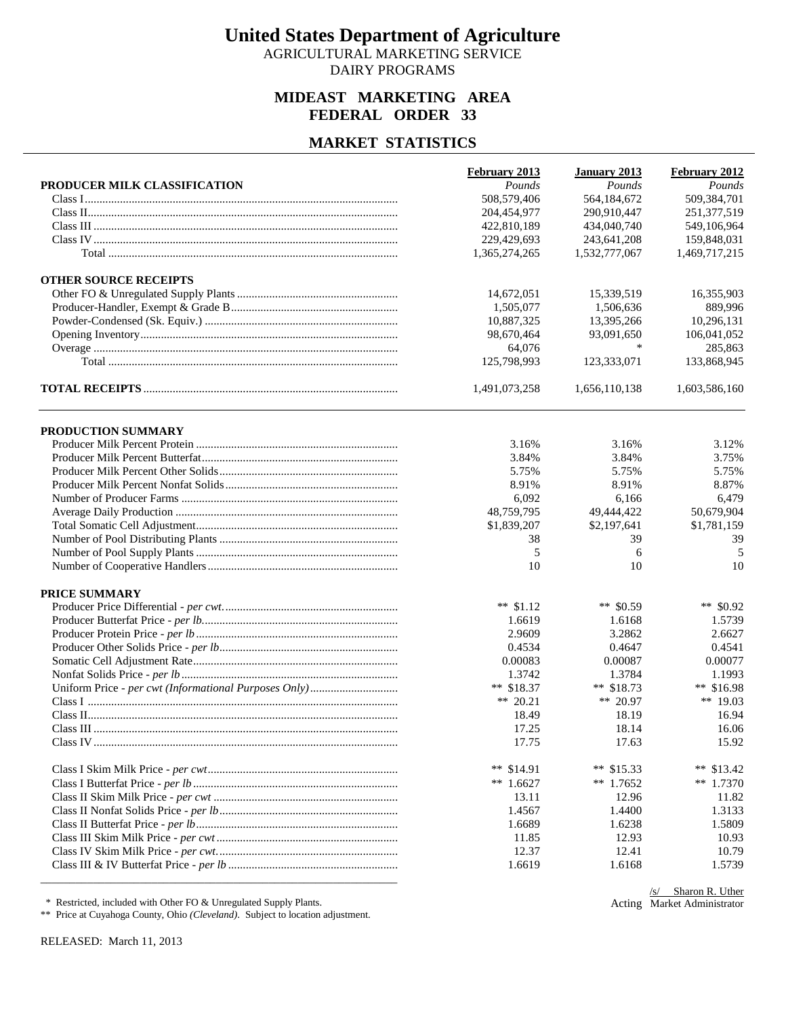AGRICULTURAL MARKETING SERVICE DAIRY PROGRAMS

## **MIDEAST MARKETING AREA FEDERAL ORDER 33**

#### **MARKET STATISTICS**

| PRODUCER MILK CLASSIFICATION | Pounds<br>508,579,406<br>204,454,977<br>422,810,189<br>229,429,693<br>1,365,274,265 | Pounds<br>564,184,672<br>290,910,447<br>434,040,740<br>243,641,208 | Pounds<br>509,384,701<br>251,377,519<br>549,106,964 |
|------------------------------|-------------------------------------------------------------------------------------|--------------------------------------------------------------------|-----------------------------------------------------|
|                              |                                                                                     |                                                                    |                                                     |
|                              |                                                                                     |                                                                    |                                                     |
|                              |                                                                                     |                                                                    |                                                     |
|                              |                                                                                     |                                                                    |                                                     |
|                              |                                                                                     |                                                                    | 159,848,031                                         |
|                              |                                                                                     | 1,532,777,067                                                      | 1,469,717,215                                       |
| <b>OTHER SOURCE RECEIPTS</b> |                                                                                     |                                                                    |                                                     |
|                              | 14,672,051                                                                          | 15,339,519                                                         | 16,355,903                                          |
|                              | 1,505,077                                                                           | 1,506,636                                                          | 889,996                                             |
|                              | 10,887,325                                                                          | 13,395,266                                                         | 10,296,131                                          |
|                              | 98,670,464                                                                          | 93,091,650                                                         | 106,041,052                                         |
|                              | 64,076                                                                              | *                                                                  | 285,863                                             |
|                              | 125,798,993                                                                         | 123,333,071                                                        | 133,868,945                                         |
|                              | 1,491,073,258                                                                       | 1,656,110,138                                                      | 1,603,586,160                                       |
| PRODUCTION SUMMARY           |                                                                                     |                                                                    |                                                     |
|                              | 3.16%                                                                               | 3.16%                                                              | 3.12%                                               |
|                              | 3.84%                                                                               | 3.84%                                                              | 3.75%                                               |
|                              | 5.75%                                                                               | 5.75%                                                              | 5.75%                                               |
|                              | 8.91%                                                                               | 8.91%                                                              | 8.87%                                               |
|                              | 6,092                                                                               | 6,166                                                              | 6,479                                               |
|                              | 48,759,795                                                                          | 49,444,422                                                         | 50,679,904                                          |
|                              | \$1,839,207                                                                         | \$2,197,641                                                        | \$1,781,159                                         |
|                              | 38                                                                                  | 39                                                                 | 39                                                  |
|                              | 5                                                                                   | 6                                                                  | 5                                                   |
|                              | 10                                                                                  | 10                                                                 | 10                                                  |
| PRICE SUMMARY                |                                                                                     |                                                                    |                                                     |
|                              | ** $$1.12$                                                                          | ** $$0.59$                                                         | ** \$0.92                                           |
|                              | 1.6619                                                                              | 1.6168                                                             | 1.5739                                              |
|                              | 2.9609                                                                              | 3.2862                                                             | 2.6627                                              |
|                              | 0.4534                                                                              | 0.4647                                                             | 0.4541                                              |
|                              | 0.00083                                                                             | 0.00087                                                            | 0.00077                                             |
|                              | 1.3742                                                                              | 1.3784                                                             | 1.1993                                              |
|                              | ** $$18.37$                                                                         | ** $$18.73$                                                        | ** $$16.98$                                         |
|                              | ** $20.21$                                                                          | ** 20.97                                                           | ** 19.03                                            |
|                              | 18.49                                                                               | 18.19                                                              | 16.94                                               |
|                              | 17.25                                                                               | 18.14                                                              | 16.06                                               |
|                              | 17.75                                                                               | 17.63                                                              | 15.92                                               |
|                              | ** $$14.91$                                                                         | ** $$15.33$                                                        | **<br>\$13.42                                       |
|                              | ** $1.6627$                                                                         | $**$ 1.7652                                                        | $*$ 1.7370                                          |
|                              | 13.11                                                                               | 12.96                                                              | 11.82                                               |
|                              | 1.4567                                                                              | 1.4400                                                             | 1.3133                                              |
|                              | 1.6689                                                                              | 1.6238                                                             | 1.5809                                              |
|                              | 11.85                                                                               | 12.93                                                              | 10.93                                               |
|                              | 12.37                                                                               | 12.41                                                              | 10.79                                               |
|                              | 1.6619                                                                              | 1.6168                                                             | 1.5739                                              |

\* Restricted, included with Other FO & Unregulated Supply Plants.

\*\* Price at Cuyahoga County, Ohio *(Cleveland)*. Subject to location adjustment.

Acting Market Administrator/s/ Sharon R. Uther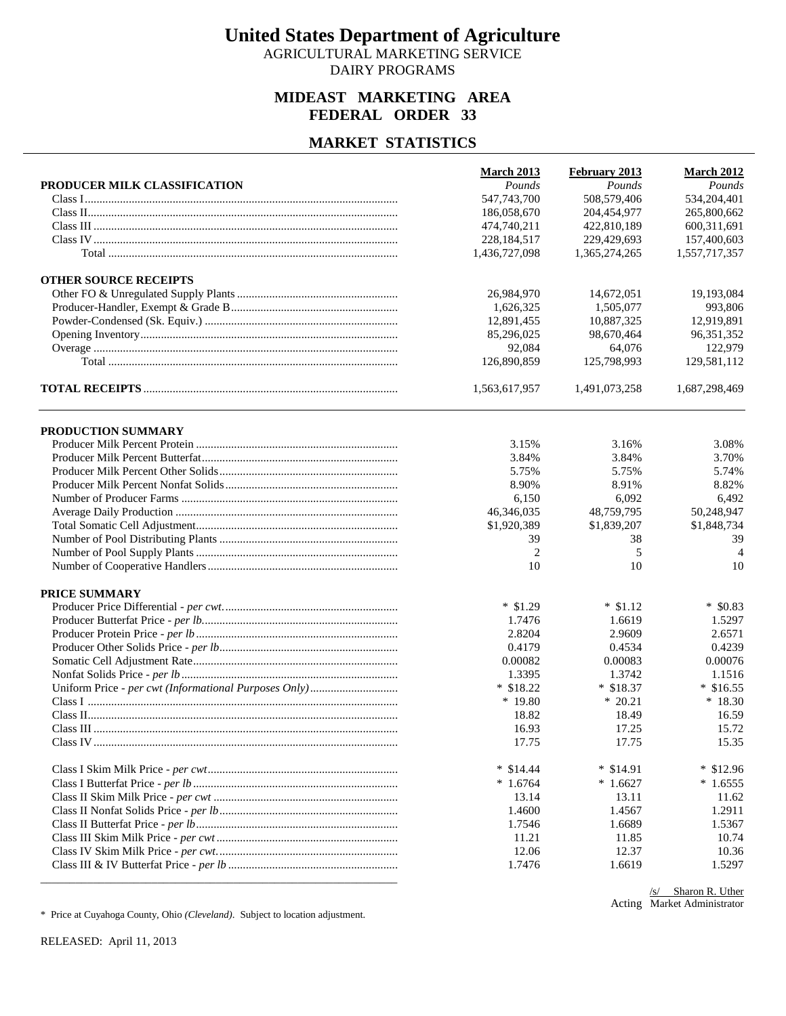AGRICULTURAL MARKETING SERVICE DAIRY PROGRAMS

## **MIDEAST MARKETING AREA FEDERAL ORDER 33**

#### **MARKET STATISTICS**

| 508,579,406<br>547,743,700<br>534,204,401<br>186,058,670<br>204,454,977<br>265,800,662<br>422,810,189<br>600,311,691<br>474,740,211<br>228, 184, 517<br>229,429,693<br>157,400,603<br>1,436,727,098<br>1,365,274,265<br>1,557,717,357<br><b>OTHER SOURCE RECEIPTS</b><br>26,984,970<br>19,193,084<br>14,672,051<br>1,626,325<br>1,505,077<br>993,806<br>12,891,455<br>10,887,325<br>12,919,891<br>85,296,025<br>98,670,464<br>96, 351, 352<br>92,084<br>64,076<br>122,979<br>126,890,859<br>125,798,993<br>129,581,112<br>1,563,617,957<br>1,491,073,258<br>1,687,298,469<br>PRODUCTION SUMMARY<br>3.15%<br>3.16%<br>3.08%<br>3.84%<br>3.70%<br>3.84%<br>5.75%<br>5.75%<br>5.74%<br>8.90%<br>8.82%<br>8.91%<br>6,150<br>6,092<br>6,492<br>46,346,035<br>48,759,795<br>50,248,947<br>\$1,920,389<br>\$1,839,207<br>\$1,848,734<br>39<br>39<br>38<br>$\overline{2}$<br>5<br>$\overline{4}$<br>10<br>10<br>10<br>PRICE SUMMARY<br>$*$ \$1.29<br>$*$ \$1.12<br>$*$ \$0.83<br>1.7476<br>1.6619<br>1.5297<br>2.8204<br>2.9609<br>2.6571<br>0.4179<br>0.4534<br>0.4239<br>0.00083<br>0.00076<br>0.00082<br>1.3395<br>1.3742<br>1.1516<br>$*$ \$18.22<br>$*$ \$18.37<br>$*$ \$16.55<br>$*18.30$<br>$*19.80$<br>$*20.21$<br>18.82<br>18.49<br>16.59<br>16.93<br>17.25<br>15.72<br>17.75<br>17.75<br>15.35<br>$*$ \$14.91<br>$*$ \$14.44<br>$*$ \$12.96<br>$*1.6764$<br>$*1.6627$<br>$*1.6555$<br>13.14<br>13.11<br>11.62<br>1.4600<br>1.4567<br>1.2911<br>1.7546<br>1.6689<br>1.5367<br>11.21<br>11.85<br>10.74<br>12.06<br>12.37<br>10.36<br>1.6619<br>1.7476<br>1.5297 |                              | <b>March 2013</b> | February 2013 | <b>March 2012</b> |
|-----------------------------------------------------------------------------------------------------------------------------------------------------------------------------------------------------------------------------------------------------------------------------------------------------------------------------------------------------------------------------------------------------------------------------------------------------------------------------------------------------------------------------------------------------------------------------------------------------------------------------------------------------------------------------------------------------------------------------------------------------------------------------------------------------------------------------------------------------------------------------------------------------------------------------------------------------------------------------------------------------------------------------------------------------------------------------------------------------------------------------------------------------------------------------------------------------------------------------------------------------------------------------------------------------------------------------------------------------------------------------------------------------------------------------------------------------------------------------------------------------------------------------------------------------------------|------------------------------|-------------------|---------------|-------------------|
|                                                                                                                                                                                                                                                                                                                                                                                                                                                                                                                                                                                                                                                                                                                                                                                                                                                                                                                                                                                                                                                                                                                                                                                                                                                                                                                                                                                                                                                                                                                                                                 | PRODUCER MILK CLASSIFICATION | Pounds            | Pounds        | Pounds            |
|                                                                                                                                                                                                                                                                                                                                                                                                                                                                                                                                                                                                                                                                                                                                                                                                                                                                                                                                                                                                                                                                                                                                                                                                                                                                                                                                                                                                                                                                                                                                                                 |                              |                   |               |                   |
|                                                                                                                                                                                                                                                                                                                                                                                                                                                                                                                                                                                                                                                                                                                                                                                                                                                                                                                                                                                                                                                                                                                                                                                                                                                                                                                                                                                                                                                                                                                                                                 |                              |                   |               |                   |
|                                                                                                                                                                                                                                                                                                                                                                                                                                                                                                                                                                                                                                                                                                                                                                                                                                                                                                                                                                                                                                                                                                                                                                                                                                                                                                                                                                                                                                                                                                                                                                 |                              |                   |               |                   |
|                                                                                                                                                                                                                                                                                                                                                                                                                                                                                                                                                                                                                                                                                                                                                                                                                                                                                                                                                                                                                                                                                                                                                                                                                                                                                                                                                                                                                                                                                                                                                                 |                              |                   |               |                   |
|                                                                                                                                                                                                                                                                                                                                                                                                                                                                                                                                                                                                                                                                                                                                                                                                                                                                                                                                                                                                                                                                                                                                                                                                                                                                                                                                                                                                                                                                                                                                                                 |                              |                   |               |                   |
|                                                                                                                                                                                                                                                                                                                                                                                                                                                                                                                                                                                                                                                                                                                                                                                                                                                                                                                                                                                                                                                                                                                                                                                                                                                                                                                                                                                                                                                                                                                                                                 |                              |                   |               |                   |
|                                                                                                                                                                                                                                                                                                                                                                                                                                                                                                                                                                                                                                                                                                                                                                                                                                                                                                                                                                                                                                                                                                                                                                                                                                                                                                                                                                                                                                                                                                                                                                 |                              |                   |               |                   |
|                                                                                                                                                                                                                                                                                                                                                                                                                                                                                                                                                                                                                                                                                                                                                                                                                                                                                                                                                                                                                                                                                                                                                                                                                                                                                                                                                                                                                                                                                                                                                                 |                              |                   |               |                   |
|                                                                                                                                                                                                                                                                                                                                                                                                                                                                                                                                                                                                                                                                                                                                                                                                                                                                                                                                                                                                                                                                                                                                                                                                                                                                                                                                                                                                                                                                                                                                                                 |                              |                   |               |                   |
|                                                                                                                                                                                                                                                                                                                                                                                                                                                                                                                                                                                                                                                                                                                                                                                                                                                                                                                                                                                                                                                                                                                                                                                                                                                                                                                                                                                                                                                                                                                                                                 |                              |                   |               |                   |
|                                                                                                                                                                                                                                                                                                                                                                                                                                                                                                                                                                                                                                                                                                                                                                                                                                                                                                                                                                                                                                                                                                                                                                                                                                                                                                                                                                                                                                                                                                                                                                 |                              |                   |               |                   |
|                                                                                                                                                                                                                                                                                                                                                                                                                                                                                                                                                                                                                                                                                                                                                                                                                                                                                                                                                                                                                                                                                                                                                                                                                                                                                                                                                                                                                                                                                                                                                                 |                              |                   |               |                   |
|                                                                                                                                                                                                                                                                                                                                                                                                                                                                                                                                                                                                                                                                                                                                                                                                                                                                                                                                                                                                                                                                                                                                                                                                                                                                                                                                                                                                                                                                                                                                                                 |                              |                   |               |                   |
|                                                                                                                                                                                                                                                                                                                                                                                                                                                                                                                                                                                                                                                                                                                                                                                                                                                                                                                                                                                                                                                                                                                                                                                                                                                                                                                                                                                                                                                                                                                                                                 |                              |                   |               |                   |
|                                                                                                                                                                                                                                                                                                                                                                                                                                                                                                                                                                                                                                                                                                                                                                                                                                                                                                                                                                                                                                                                                                                                                                                                                                                                                                                                                                                                                                                                                                                                                                 |                              |                   |               |                   |
|                                                                                                                                                                                                                                                                                                                                                                                                                                                                                                                                                                                                                                                                                                                                                                                                                                                                                                                                                                                                                                                                                                                                                                                                                                                                                                                                                                                                                                                                                                                                                                 |                              |                   |               |                   |
|                                                                                                                                                                                                                                                                                                                                                                                                                                                                                                                                                                                                                                                                                                                                                                                                                                                                                                                                                                                                                                                                                                                                                                                                                                                                                                                                                                                                                                                                                                                                                                 |                              |                   |               |                   |
|                                                                                                                                                                                                                                                                                                                                                                                                                                                                                                                                                                                                                                                                                                                                                                                                                                                                                                                                                                                                                                                                                                                                                                                                                                                                                                                                                                                                                                                                                                                                                                 |                              |                   |               |                   |
|                                                                                                                                                                                                                                                                                                                                                                                                                                                                                                                                                                                                                                                                                                                                                                                                                                                                                                                                                                                                                                                                                                                                                                                                                                                                                                                                                                                                                                                                                                                                                                 |                              |                   |               |                   |
|                                                                                                                                                                                                                                                                                                                                                                                                                                                                                                                                                                                                                                                                                                                                                                                                                                                                                                                                                                                                                                                                                                                                                                                                                                                                                                                                                                                                                                                                                                                                                                 |                              |                   |               |                   |
|                                                                                                                                                                                                                                                                                                                                                                                                                                                                                                                                                                                                                                                                                                                                                                                                                                                                                                                                                                                                                                                                                                                                                                                                                                                                                                                                                                                                                                                                                                                                                                 |                              |                   |               |                   |
|                                                                                                                                                                                                                                                                                                                                                                                                                                                                                                                                                                                                                                                                                                                                                                                                                                                                                                                                                                                                                                                                                                                                                                                                                                                                                                                                                                                                                                                                                                                                                                 |                              |                   |               |                   |
|                                                                                                                                                                                                                                                                                                                                                                                                                                                                                                                                                                                                                                                                                                                                                                                                                                                                                                                                                                                                                                                                                                                                                                                                                                                                                                                                                                                                                                                                                                                                                                 |                              |                   |               |                   |
|                                                                                                                                                                                                                                                                                                                                                                                                                                                                                                                                                                                                                                                                                                                                                                                                                                                                                                                                                                                                                                                                                                                                                                                                                                                                                                                                                                                                                                                                                                                                                                 |                              |                   |               |                   |
|                                                                                                                                                                                                                                                                                                                                                                                                                                                                                                                                                                                                                                                                                                                                                                                                                                                                                                                                                                                                                                                                                                                                                                                                                                                                                                                                                                                                                                                                                                                                                                 |                              |                   |               |                   |
|                                                                                                                                                                                                                                                                                                                                                                                                                                                                                                                                                                                                                                                                                                                                                                                                                                                                                                                                                                                                                                                                                                                                                                                                                                                                                                                                                                                                                                                                                                                                                                 |                              |                   |               |                   |
|                                                                                                                                                                                                                                                                                                                                                                                                                                                                                                                                                                                                                                                                                                                                                                                                                                                                                                                                                                                                                                                                                                                                                                                                                                                                                                                                                                                                                                                                                                                                                                 |                              |                   |               |                   |
|                                                                                                                                                                                                                                                                                                                                                                                                                                                                                                                                                                                                                                                                                                                                                                                                                                                                                                                                                                                                                                                                                                                                                                                                                                                                                                                                                                                                                                                                                                                                                                 |                              |                   |               |                   |
|                                                                                                                                                                                                                                                                                                                                                                                                                                                                                                                                                                                                                                                                                                                                                                                                                                                                                                                                                                                                                                                                                                                                                                                                                                                                                                                                                                                                                                                                                                                                                                 |                              |                   |               |                   |
|                                                                                                                                                                                                                                                                                                                                                                                                                                                                                                                                                                                                                                                                                                                                                                                                                                                                                                                                                                                                                                                                                                                                                                                                                                                                                                                                                                                                                                                                                                                                                                 |                              |                   |               |                   |
|                                                                                                                                                                                                                                                                                                                                                                                                                                                                                                                                                                                                                                                                                                                                                                                                                                                                                                                                                                                                                                                                                                                                                                                                                                                                                                                                                                                                                                                                                                                                                                 |                              |                   |               |                   |
|                                                                                                                                                                                                                                                                                                                                                                                                                                                                                                                                                                                                                                                                                                                                                                                                                                                                                                                                                                                                                                                                                                                                                                                                                                                                                                                                                                                                                                                                                                                                                                 |                              |                   |               |                   |
|                                                                                                                                                                                                                                                                                                                                                                                                                                                                                                                                                                                                                                                                                                                                                                                                                                                                                                                                                                                                                                                                                                                                                                                                                                                                                                                                                                                                                                                                                                                                                                 |                              |                   |               |                   |
|                                                                                                                                                                                                                                                                                                                                                                                                                                                                                                                                                                                                                                                                                                                                                                                                                                                                                                                                                                                                                                                                                                                                                                                                                                                                                                                                                                                                                                                                                                                                                                 |                              |                   |               |                   |
|                                                                                                                                                                                                                                                                                                                                                                                                                                                                                                                                                                                                                                                                                                                                                                                                                                                                                                                                                                                                                                                                                                                                                                                                                                                                                                                                                                                                                                                                                                                                                                 |                              |                   |               |                   |
|                                                                                                                                                                                                                                                                                                                                                                                                                                                                                                                                                                                                                                                                                                                                                                                                                                                                                                                                                                                                                                                                                                                                                                                                                                                                                                                                                                                                                                                                                                                                                                 |                              |                   |               |                   |
|                                                                                                                                                                                                                                                                                                                                                                                                                                                                                                                                                                                                                                                                                                                                                                                                                                                                                                                                                                                                                                                                                                                                                                                                                                                                                                                                                                                                                                                                                                                                                                 |                              |                   |               |                   |
|                                                                                                                                                                                                                                                                                                                                                                                                                                                                                                                                                                                                                                                                                                                                                                                                                                                                                                                                                                                                                                                                                                                                                                                                                                                                                                                                                                                                                                                                                                                                                                 |                              |                   |               |                   |
|                                                                                                                                                                                                                                                                                                                                                                                                                                                                                                                                                                                                                                                                                                                                                                                                                                                                                                                                                                                                                                                                                                                                                                                                                                                                                                                                                                                                                                                                                                                                                                 |                              |                   |               |                   |
|                                                                                                                                                                                                                                                                                                                                                                                                                                                                                                                                                                                                                                                                                                                                                                                                                                                                                                                                                                                                                                                                                                                                                                                                                                                                                                                                                                                                                                                                                                                                                                 |                              |                   |               |                   |
|                                                                                                                                                                                                                                                                                                                                                                                                                                                                                                                                                                                                                                                                                                                                                                                                                                                                                                                                                                                                                                                                                                                                                                                                                                                                                                                                                                                                                                                                                                                                                                 |                              |                   |               |                   |
|                                                                                                                                                                                                                                                                                                                                                                                                                                                                                                                                                                                                                                                                                                                                                                                                                                                                                                                                                                                                                                                                                                                                                                                                                                                                                                                                                                                                                                                                                                                                                                 |                              |                   |               |                   |
|                                                                                                                                                                                                                                                                                                                                                                                                                                                                                                                                                                                                                                                                                                                                                                                                                                                                                                                                                                                                                                                                                                                                                                                                                                                                                                                                                                                                                                                                                                                                                                 |                              |                   |               |                   |
|                                                                                                                                                                                                                                                                                                                                                                                                                                                                                                                                                                                                                                                                                                                                                                                                                                                                                                                                                                                                                                                                                                                                                                                                                                                                                                                                                                                                                                                                                                                                                                 |                              |                   |               |                   |

Acting Market Administrator/s/ Sharon R. Uther

\* Price at Cuyahoga County, Ohio *(Cleveland)*. Subject to location adjustment.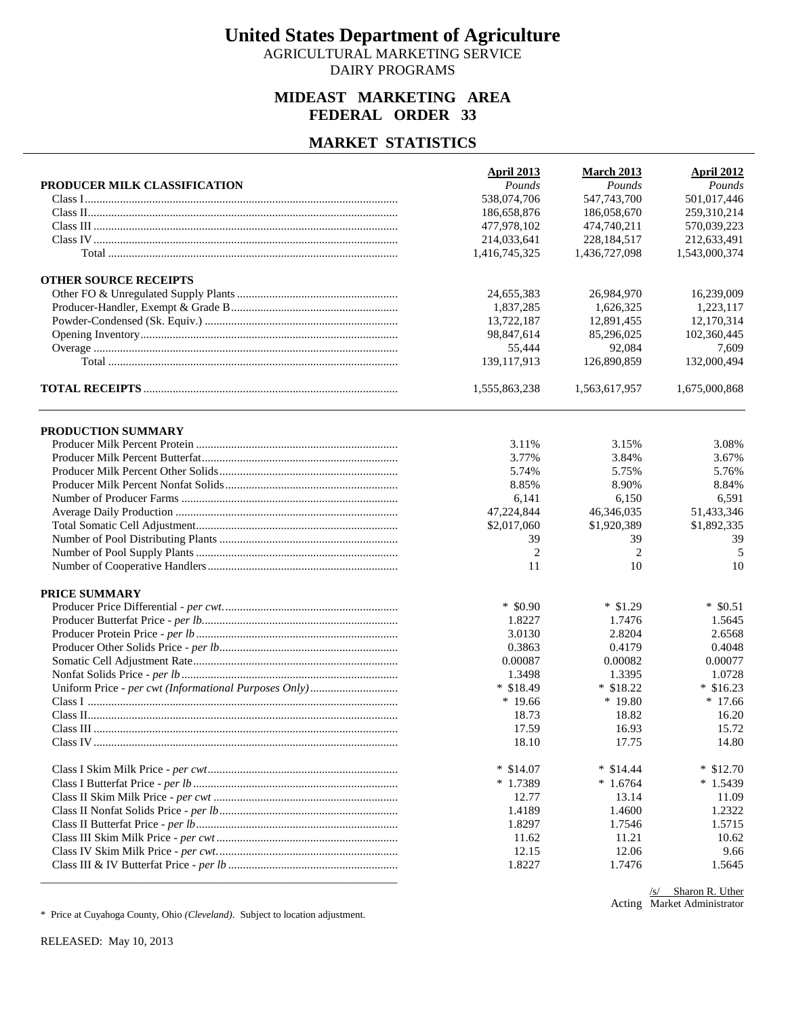AGRICULTURAL MARKETING SERVICE DAIRY PROGRAMS

## **MIDEAST MARKETING AREA FEDERAL ORDER 33**

#### **MARKET STATISTICS**

| PRODUCER MILK CLASSIFICATION | <b>April 2013</b><br>Pounds | <b>March 2013</b><br>Pounds | <b>April 2012</b><br>Pounds |
|------------------------------|-----------------------------|-----------------------------|-----------------------------|
|                              | 538,074,706                 | 547,743,700                 | 501,017,446                 |
|                              | 186,658,876                 | 186,058,670                 | 259,310,214                 |
|                              | 477,978,102                 | 474,740,211                 | 570,039,223                 |
|                              |                             |                             |                             |
|                              | 214,033,641                 | 228,184,517                 | 212,633,491                 |
|                              | 1,416,745,325               | 1,436,727,098               | 1,543,000,374               |
| <b>OTHER SOURCE RECEIPTS</b> |                             |                             |                             |
|                              | 24,655,383                  | 26,984,970                  | 16,239,009                  |
|                              | 1,837,285                   | 1,626,325                   | 1,223,117                   |
|                              | 13,722,187                  | 12,891,455                  | 12,170,314                  |
|                              | 98,847,614                  | 85,296,025                  | 102,360,445                 |
|                              | 55,444                      | 92.084                      | 7,609                       |
|                              | 139, 117, 913               | 126,890,859                 | 132,000,494                 |
|                              | 1,555,863,238               | 1,563,617,957               | 1,675,000,868               |
| PRODUCTION SUMMARY           |                             |                             |                             |
|                              | 3.11%                       | 3.15%                       | 3.08%                       |
|                              | 3.77%                       | 3.84%                       | 3.67%                       |
|                              | 5.74%                       | 5.75%                       | 5.76%                       |
|                              | 8.85%                       | 8.90%                       | 8.84%                       |
|                              | 6,141                       | 6,150                       | 6,591                       |
|                              | 47,224,844                  | 46,346,035                  | 51,433,346                  |
|                              | \$2,017,060                 | \$1,920,389                 | \$1,892,335                 |
|                              | 39                          | 39                          | 39                          |
|                              | 2                           | $\overline{2}$              | 5                           |
|                              | 11                          | 10                          | 10                          |
| PRICE SUMMARY                |                             |                             |                             |
|                              | $*$ \$0.90                  | $*$ \$1.29                  | $*$ \$0.51                  |
|                              | 1.8227                      | 1.7476                      | 1.5645                      |
|                              | 3.0130                      | 2.8204                      | 2.6568                      |
|                              | 0.3863                      | 0.4179                      | 0.4048                      |
|                              | 0.00087                     | 0.00082                     | 0.00077                     |
|                              | 1.3498                      | 1.3395                      | 1.0728                      |
|                              | $*$ \$18.49                 | $*$ \$18.22                 | $*$ \$16.23                 |
|                              | $*19.66$                    | $*19.80$                    | $*17.66$                    |
|                              | 18.73                       | 18.82                       |                             |
|                              | 17.59                       | 16.93                       | 16.20<br>15.72              |
|                              |                             |                             |                             |
|                              | 18.10                       | 17.75                       | 14.80                       |
|                              | $*$ \$14.07                 | $*$ \$14.44                 | $*$ \$12.70                 |
|                              | $*1.7389$                   | $*1.6764$                   | $*1.5439$                   |
|                              | 12.77                       | 13.14                       | 11.09                       |
|                              | 1.4189                      | 1.4600                      | 1.2322                      |
|                              | 1.8297                      | 1.7546                      | 1.5715                      |
|                              | 11.62                       | 11.21                       | 10.62                       |
|                              | 12.15                       | 12.06                       | 9.66                        |
|                              | 1.8227                      | 1.7476                      | 1.5645                      |

Acting Market Administrator/s/ Sharon R. Uther

\* Price at Cuyahoga County, Ohio *(Cleveland)*. Subject to location adjustment.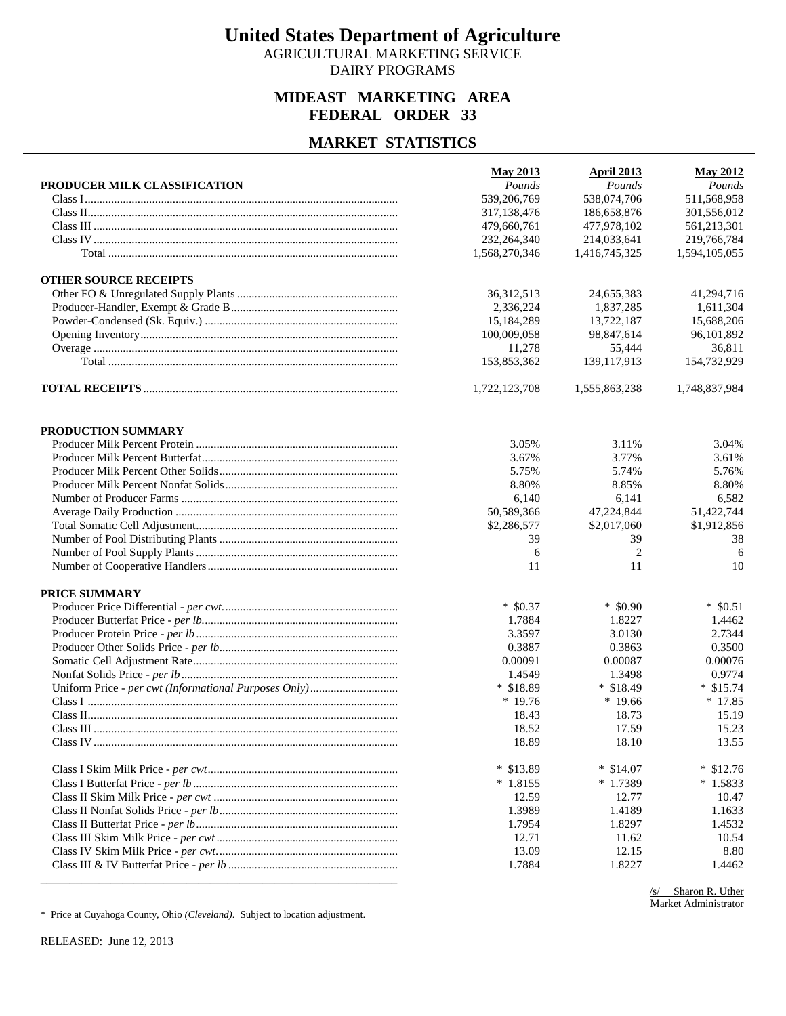AGRICULTURAL MARKETING SERVICE DAIRY PROGRAMS

## **MIDEAST MARKETING AREA FEDERAL ORDER 33**

#### **MARKET STATISTICS**

| PRODUCER MILK CLASSIFICATION | <b>May 2013</b><br>Pounds | <b>April 2013</b><br>Pounds | <b>May 2012</b><br>Pounds |
|------------------------------|---------------------------|-----------------------------|---------------------------|
|                              | 539,206,769               | 538,074,706                 | 511,568,958               |
|                              | 317,138,476               | 186,658,876                 | 301,556,012               |
|                              | 479,660,761               | 477,978,102                 | 561,213,301               |
|                              | 232, 264, 340             | 214,033,641                 | 219,766,784               |
|                              | 1,568,270,346             | 1,416,745,325               | 1,594,105,055             |
|                              |                           |                             |                           |
| <b>OTHER SOURCE RECEIPTS</b> |                           |                             |                           |
|                              | 36, 312, 513              | 24,655,383                  | 41,294,716                |
|                              | 2,336,224                 | 1,837,285                   | 1,611,304                 |
|                              | 15,184,289                | 13,722,187                  | 15,688,206                |
|                              | 100,009,058               | 98,847,614                  | 96,101,892                |
|                              | 11,278                    | 55,444                      | 36,811                    |
|                              | 153,853,362               | 139, 117, 913               | 154,732,929               |
|                              | 1,722,123,708             | 1,555,863,238               | 1,748,837,984             |
| PRODUCTION SUMMARY           |                           |                             |                           |
|                              | 3.05%                     | 3.11%                       | 3.04%                     |
|                              | 3.67%                     | 3.77%                       | 3.61%                     |
|                              | 5.75%                     |                             | 5.76%                     |
|                              |                           | 5.74%                       |                           |
|                              | 8.80%                     | 8.85%                       | 8.80%                     |
|                              | 6,140                     | 6,141                       | 6,582                     |
|                              | 50,589,366                | 47,224,844                  | 51,422,744                |
|                              | \$2,286,577               | \$2,017,060                 | \$1,912,856               |
|                              | 39                        | 39                          | 38                        |
|                              | 6                         | $\overline{2}$              | 6                         |
|                              | 11                        | 11                          | 10                        |
| PRICE SUMMARY                |                           |                             |                           |
|                              | $*$ \$0.37                | $*$ \$0.90                  | $*$ \$0.51                |
|                              | 1.7884                    | 1.8227                      | 1.4462                    |
|                              | 3.3597                    | 3.0130                      | 2.7344                    |
|                              | 0.3887                    | 0.3863                      | 0.3500                    |
|                              | 0.00091                   | 0.00087                     | 0.00076                   |
|                              | 1.4549                    | 1.3498                      | 0.9774                    |
|                              | $*$ \$18.89               | $*$ \$18.49                 | $*$ \$15.74               |
|                              | $*19.76$                  | $*19.66$                    | $*17.85$                  |
|                              | 18.43                     | 18.73                       |                           |
|                              |                           |                             | 15.19                     |
|                              | 18.52                     | 17.59                       | 15.23                     |
|                              | 18.89                     | 18.10                       | 13.55                     |
|                              | $*$ \$13.89               | $*$ \$14.07                 | $*$ \$12.76               |
|                              | $*1.8155$                 | $*1.7389$                   | $*1.5833$                 |
|                              | 12.59                     | 12.77                       | 10.47                     |
|                              | 1.3989                    | 1.4189                      | 1.1633                    |
|                              | 1.7954                    | 1.8297                      | 1.4532                    |
|                              | 12.71                     | 11.62                       | 10.54                     |
|                              | 13.09                     | 12.15                       | 8.80                      |
|                              | 1.7884                    | 1.8227                      | 1.4462                    |
|                              |                           |                             |                           |

/s/ Sharon R. Uther Market Administrator

\* Price at Cuyahoga County, Ohio *(Cleveland)*. Subject to location adjustment.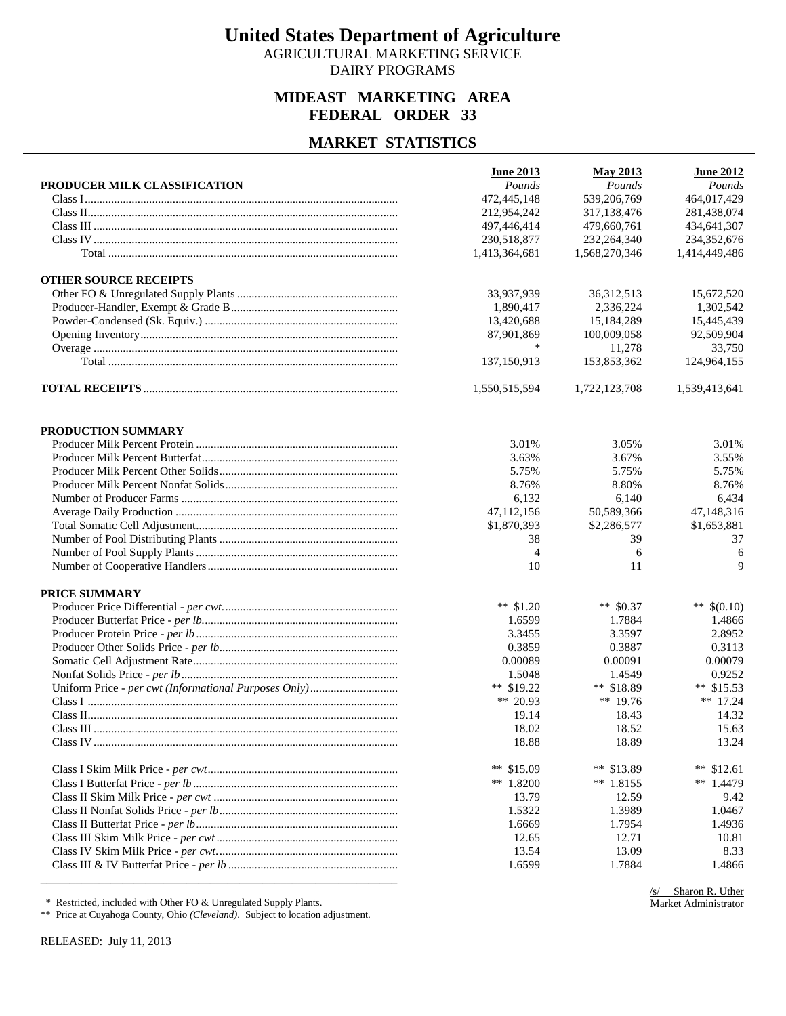AGRICULTURAL MARKETING SERVICE DAIRY PROGRAMS

## **MIDEAST MARKETING AREA FEDERAL ORDER 33**

#### **MARKET STATISTICS**

|                              | <b>June 2013</b> | <b>May 2013</b> | <b>June 2012</b> |
|------------------------------|------------------|-----------------|------------------|
| PRODUCER MILK CLASSIFICATION | Pounds           | Pounds          | Pounds           |
|                              | 472,445,148      | 539,206,769     | 464,017,429      |
|                              | 212,954,242      | 317,138,476     | 281,438,074      |
|                              | 497,446,414      | 479,660,761     | 434,641,307      |
|                              | 230,518,877      | 232,264,340     | 234,352,676      |
|                              | 1,413,364,681    | 1,568,270,346   | 1,414,449,486    |
| <b>OTHER SOURCE RECEIPTS</b> |                  |                 |                  |
|                              | 33,937,939       | 36, 312, 513    | 15,672,520       |
|                              | 1,890,417        | 2,336,224       | 1,302,542        |
|                              | 13,420,688       | 15,184,289      | 15,445,439       |
|                              | 87,901,869       | 100,009,058     | 92,509,904       |
|                              | *                | 11,278          | 33,750           |
|                              | 137,150,913      | 153,853,362     | 124,964,155      |
|                              | 1,550,515,594    | 1,722,123,708   | 1,539,413,641    |
| PRODUCTION SUMMARY           |                  |                 |                  |
|                              | 3.01%            | 3.05%           | 3.01%            |
|                              | 3.63%            | 3.67%           | 3.55%            |
|                              | 5.75%            | 5.75%           | 5.75%            |
|                              | 8.76%            | 8.80%           | 8.76%            |
|                              | 6,132            | 6,140           | 6,434            |
|                              | 47,112,156       | 50,589,366      | 47,148,316       |
|                              | \$1,870,393      | \$2,286,577     | \$1,653,881      |
|                              | 38               | 39              | 37               |
|                              | 4                | 6               | 6                |
|                              | 10               | 11              | 9                |
| PRICE SUMMARY                |                  |                 |                  |
|                              | ** $$1.20$       | ** $$0.37$      | ** $$(0.10)$     |
|                              | 1.6599           | 1.7884          | 1.4866           |
|                              | 3.3455           | 3.3597          | 2.8952           |
|                              | 0.3859           | 0.3887          | 0.3113           |
|                              | 0.00089          | 0.00091         | 0.00079          |
|                              | 1.5048           | 1.4549          | 0.9252           |
|                              | ** $$19.22$      | ** $$18.89$     | ** $$15.53$      |
|                              | ** 20.93         | ** $19.76$      | ** $17.24$       |
|                              | 19.14            | 18.43           | 14.32            |
|                              | 18.02            | 18.52           | 15.63            |
|                              | 18.88            | 18.89           | 13.24            |
|                              | ** $$15.09$      | ** $$13.89$     | ** $$12.61$      |
|                              | ** 1.8200        | $**$ 1.8155     | ** $1.4479$      |
|                              | 13.79            | 12.59           | 9.42             |
|                              | 1.5322           | 1.3989          | 1.0467           |
|                              | 1.6669           | 1.7954          | 1.4936           |
|                              | 12.65            | 12.71           | 10.81            |
|                              | 13.54            | 13.09           | 8.33             |
|                              | 1.6599           | 1.7884          | 1.4866           |
|                              |                  |                 |                  |

\* Restricted, included with Other FO & Unregulated Supply Plants.

\*\* Price at Cuyahoga County, Ohio *(Cleveland)*. Subject to location adjustment.

RELEASED: July 11, 2013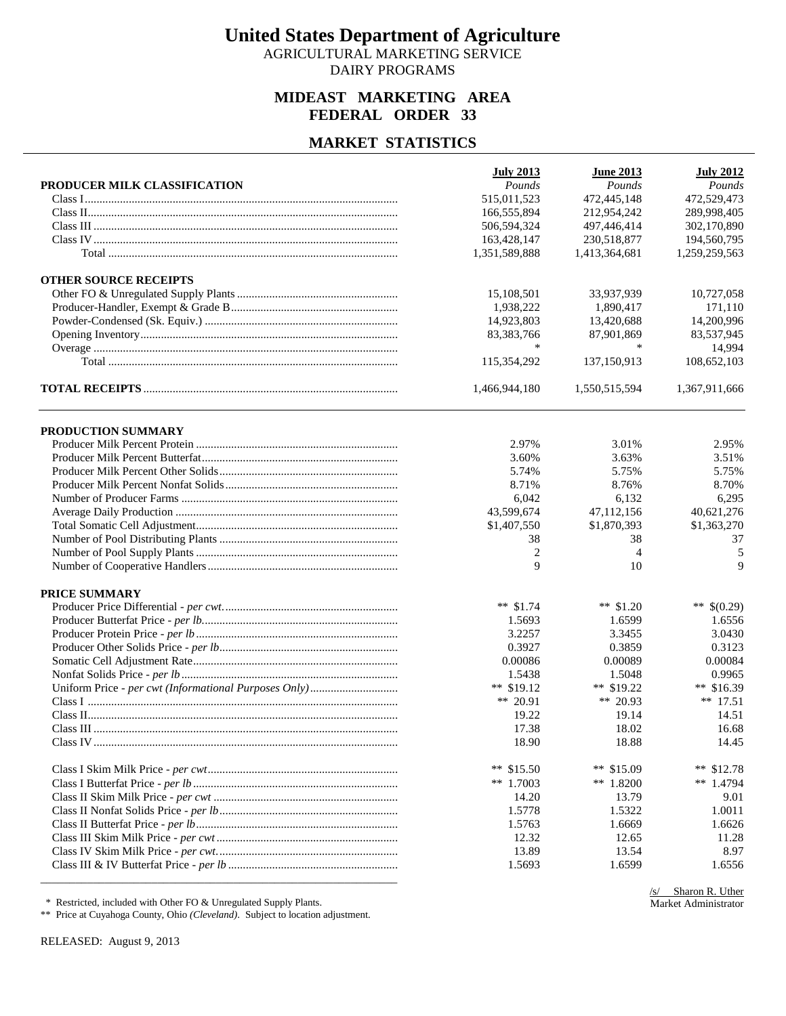AGRICULTURAL MARKETING SERVICE DAIRY PROGRAMS

## **MIDEAST MARKETING AREA FEDERAL ORDER 33**

#### **MARKET STATISTICS**

|                              | <b>July 2013</b> | <b>June 2013</b>           | <b>July 2012</b> |
|------------------------------|------------------|----------------------------|------------------|
| PRODUCER MILK CLASSIFICATION | Pounds           | Pounds                     | Pounds           |
|                              | 515,011,523      | 472,445,148<br>212.954.242 | 472,529,473      |
|                              | 166,555,894      |                            | 289,998,405      |
|                              | 506,594,324      | 497,446,414                | 302,170,890      |
|                              | 163,428,147      | 230,518,877                | 194,560,795      |
|                              | 1,351,589,888    | 1,413,364,681              | 1,259,259,563    |
| <b>OTHER SOURCE RECEIPTS</b> |                  |                            |                  |
|                              | 15,108,501       | 33,937,939                 | 10,727,058       |
|                              | 1,938,222        | 1,890,417                  | 171,110          |
|                              | 14,923,803       | 13,420,688                 | 14,200,996       |
|                              | 83,383,766       | 87,901,869                 | 83,537,945       |
|                              | ∗                | *                          | 14,994           |
|                              | 115,354,292      | 137,150,913                | 108,652,103      |
|                              | 1,466,944,180    | 1,550,515,594              | 1,367,911,666    |
| PRODUCTION SUMMARY           |                  |                            |                  |
|                              | 2.97%            | 3.01%                      | 2.95%            |
|                              | 3.60%            | 3.63%                      | 3.51%            |
|                              | 5.74%            | 5.75%                      | 5.75%            |
|                              | 8.71%            | 8.76%                      | 8.70%            |
|                              | 6,042            | 6,132                      | 6,295            |
|                              | 43,599,674       | 47,112,156                 | 40,621,276       |
|                              |                  |                            |                  |
|                              | \$1,407,550      | \$1,870,393                | \$1,363,270      |
|                              | 38               | 38                         | 37               |
|                              | 2                | $\overline{4}$             | 5                |
|                              | 9                | 10                         | 9                |
| PRICE SUMMARY                |                  |                            |                  |
|                              | ** $$1.74$       | ** $$1.20$                 | ** $$(0.29)$     |
|                              | 1.5693           | 1.6599                     | 1.6556           |
|                              | 3.2257           | 3.3455                     | 3.0430           |
|                              | 0.3927           | 0.3859                     | 0.3123           |
|                              | 0.00086          | 0.00089                    | 0.00084          |
|                              | 1.5438           | 1.5048                     | 0.9965           |
|                              | ** $$19.12$      | ** $$19.22$                | ** $$16.39$      |
|                              | ** 20.91         | ** 20.93                   | $** 17.51$       |
|                              | 19.22            | 19.14                      | 14.51            |
|                              | 17.38            | 18.02                      | 16.68            |
|                              | 18.90            | 18.88                      | 14.45            |
|                              | ** $$15.50$      | ** $$15.09$                | ** $$12.78$      |
|                              | ** 1.7003        | ** $1.8200$                | ** $1.4794$      |
|                              | 14.20            | 13.79                      | 9.01             |
|                              | 1.5778           | 1.5322                     | 1.0011           |
|                              | 1.5763           | 1.6669                     | 1.6626           |
|                              | 12.32            | 12.65                      | 11.28            |
|                              | 13.89            | 13.54                      | 8.97             |
|                              | 1.5693           | 1.6599                     | 1.6556           |
|                              |                  |                            |                  |

\* Restricted, included with Other FO & Unregulated Supply Plants.

\*\* Price at Cuyahoga County, Ohio *(Cleveland)*. Subject to location adjustment.

RELEASED: August 9, 2013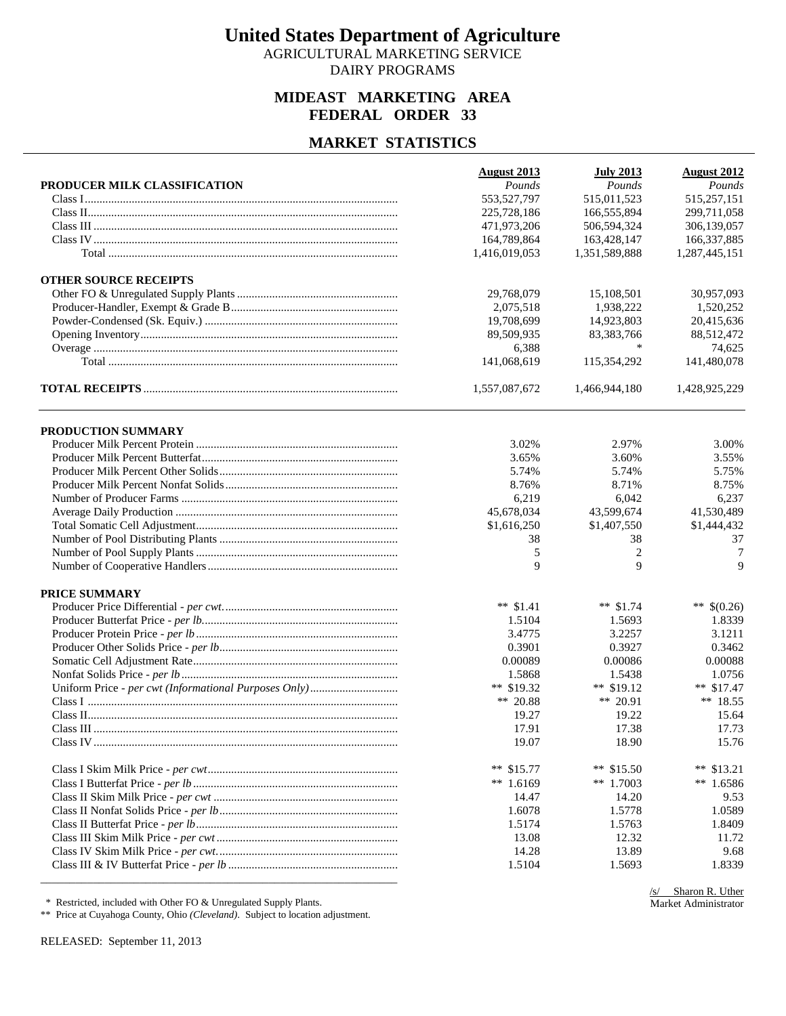AGRICULTURAL MARKETING SERVICE DAIRY PROGRAMS

## **MIDEAST MARKETING AREA FEDERAL ORDER 33**

#### **MARKET STATISTICS**

| PRODUCER MILK CLASSIFICATION | <b>August 2013</b><br>Pounds | <b>July 2013</b><br>Pounds | <b>August 2012</b><br>Pounds |
|------------------------------|------------------------------|----------------------------|------------------------------|
|                              | 553,527,797                  | 515,011,523                | 515,257,151                  |
|                              | 225,728,186                  | 166,555,894                | 299,711,058                  |
|                              | 471,973,206                  | 506,594,324                | 306,139,057                  |
|                              | 164,789,864                  | 163,428,147                | 166,337,885                  |
|                              |                              |                            |                              |
|                              | 1,416,019,053                | 1,351,589,888              | 1,287,445,151                |
| <b>OTHER SOURCE RECEIPTS</b> |                              |                            |                              |
|                              | 29,768,079                   | 15,108,501                 | 30,957,093                   |
|                              | 2,075,518                    | 1,938,222                  | 1,520,252                    |
|                              | 19,708,699                   | 14,923,803                 | 20,415,636                   |
|                              | 89,509,935                   | 83,383,766                 | 88,512,472                   |
|                              | 6,388                        | *                          | 74,625                       |
|                              | 141,068,619                  | 115,354,292                | 141,480,078                  |
|                              | 1,557,087,672                | 1,466,944,180              | 1,428,925,229                |
| PRODUCTION SUMMARY           |                              |                            |                              |
|                              | 3.02%                        | 2.97%                      | 3.00%                        |
|                              | 3.65%                        | 3.60%                      | 3.55%                        |
|                              | 5.74%                        | 5.74%                      | 5.75%                        |
|                              | 8.76%                        | 8.71%                      | 8.75%                        |
|                              | 6,219                        | 6,042                      | 6,237                        |
|                              | 45,678,034                   | 43,599,674                 | 41,530,489                   |
|                              | \$1,616,250                  | \$1,407,550                | \$1,444,432                  |
|                              | 38                           | 38                         | 37                           |
|                              | 5                            | $\overline{c}$             | 7                            |
|                              | 9                            | 9                          | 9                            |
|                              |                              |                            |                              |
| PRICE SUMMARY                |                              |                            |                              |
|                              | ** $$1.41$                   | ** $$1.74$                 | ** $$(0.26)$                 |
|                              | 1.5104                       | 1.5693                     | 1.8339                       |
|                              | 3.4775                       | 3.2257                     | 3.1211                       |
|                              | 0.3901                       | 0.3927                     | 0.3462                       |
|                              | 0.00089                      | 0.00086                    | 0.00088                      |
|                              | 1.5868                       | 1.5438                     | 1.0756                       |
|                              | ** \$19.32                   | ** $$19.12$                | ** $$17.47$                  |
|                              | ** 20.88                     | ** 20.91                   | $**$ 18.55                   |
|                              | 19.27                        | 19.22                      | 15.64                        |
|                              | 17.91                        | 17.38                      | 17.73                        |
|                              | 19.07                        | 18.90                      | 15.76                        |
|                              | ** $$15.77$                  | ** $$15.50$                | **<br>\$13.21                |
|                              | ** $1.6169$                  | ** $1.7003$                | ** $1.6586$                  |
|                              | 14.47                        | 14.20                      | 9.53                         |
|                              | 1.6078                       | 1.5778                     | 1.0589                       |
|                              | 1.5174                       | 1.5763                     | 1.8409                       |
|                              | 13.08                        | 12.32                      | 11.72                        |
|                              | 14.28                        | 13.89                      | 9.68                         |
|                              | 1.5104                       | 1.5693                     | 1.8339                       |
|                              |                              |                            |                              |

\* Restricted, included with Other FO & Unregulated Supply Plants.

\*\* Price at Cuyahoga County, Ohio *(Cleveland)*. Subject to location adjustment.

RELEASED: September 11, 2013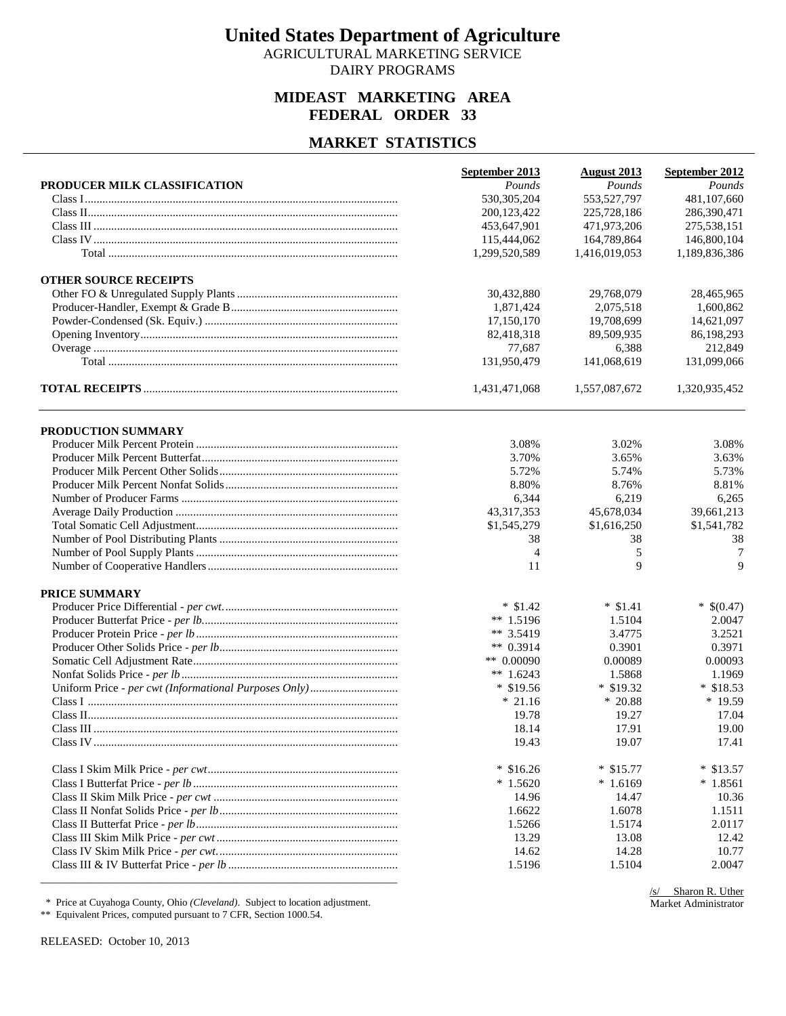AGRICULTURAL MARKETING SERVICE DAIRY PROGRAMS

## **MIDEAST MARKETING AREA FEDERAL ORDER 33**

#### **MARKET STATISTICS**

|                              | September 2013 | <b>August 2013</b> | September 2012 |
|------------------------------|----------------|--------------------|----------------|
| PRODUCER MILK CLASSIFICATION | Pounds         | Pounds             | Pounds         |
|                              | 530, 305, 204  | 553,527,797        | 481,107,660    |
|                              | 200,123,422    | 225,728,186        | 286,390,471    |
|                              | 453,647,901    | 471,973,206        | 275,538,151    |
|                              | 115,444,062    | 164,789,864        | 146,800,104    |
|                              | 1,299,520,589  | 1,416,019,053      | 1,189,836,386  |
| <b>OTHER SOURCE RECEIPTS</b> |                |                    |                |
|                              | 30,432,880     | 29,768,079         | 28,465,965     |
|                              | 1,871,424      | 2,075,518          | 1,600,862      |
|                              | 17,150,170     | 19,708,699         | 14.621.097     |
|                              | 82,418,318     | 89,509,935         | 86,198,293     |
|                              | 77,687         | 6,388              | 212,849        |
|                              | 131,950,479    | 141,068,619        | 131,099,066    |
|                              | 1,431,471,068  | 1,557,087,672      | 1,320,935,452  |
| PRODUCTION SUMMARY           |                |                    |                |
|                              | 3.08%          | 3.02%              | 3.08%          |
|                              | 3.70%          | 3.65%              | 3.63%          |
|                              | 5.72%          | 5.74%              | 5.73%          |
|                              | 8.80%          | 8.76%              | 8.81%          |
|                              | 6,344          | 6,219              | 6,265          |
|                              | 43,317,353     | 45,678,034         | 39,661,213     |
|                              | \$1,545,279    | \$1,616,250        | \$1,541,782    |
|                              | 38             |                    | 38             |
|                              |                | 38                 |                |
|                              | 4              | 5<br>9             | 7<br>9         |
|                              | 11             |                    |                |
| PRICE SUMMARY                |                |                    |                |
|                              | $*$ \$1.42     | $*$ \$1.41         | $*$ \$(0.47)   |
|                              | ** 1.5196      | 1.5104             | 2.0047         |
|                              | ** $3.5419$    | 3.4775             | 3.2521         |
|                              | ** $0.3914$    | 0.3901             | 0.3971         |
|                              | ** $0.00090$   | 0.00089            | 0.00093        |
|                              | ** $1.6243$    | 1.5868             | 1.1969         |
|                              | $*$ \$19.56    | $*$ \$19.32        | $*$ \$18.53    |
|                              | $*21.16$       | $*20.88$           | * 19.59        |
|                              | 19.78          | 19.27              | 17.04          |
|                              | 18.14          | 17.91              | 19.00          |
|                              | 19.43          | 19.07              | 17.41          |
|                              | $*$ \$16.26    | $*$ \$15.77        | $*$ \$13.57    |
|                              | $*1.5620$      | $*1.6169$          | $*1.8561$      |
|                              | 14.96          | 14.47              | 10.36          |
|                              | 1.6622         | 1.6078             | 1.1511         |
|                              | 1.5266         | 1.5174             | 2.0117         |
|                              | 13.29          | 13.08              | 12.42          |
|                              | 14.62          | 14.28              | 10.77          |
|                              |                |                    |                |
|                              | 1.5196         | 1.5104             | 2.0047         |

\* Price at Cuyahoga County, Ohio *(Cleveland)*. Subject to location adjustment.

\*\* Equivalent Prices, computed pursuant to 7 CFR, Section 1000.54.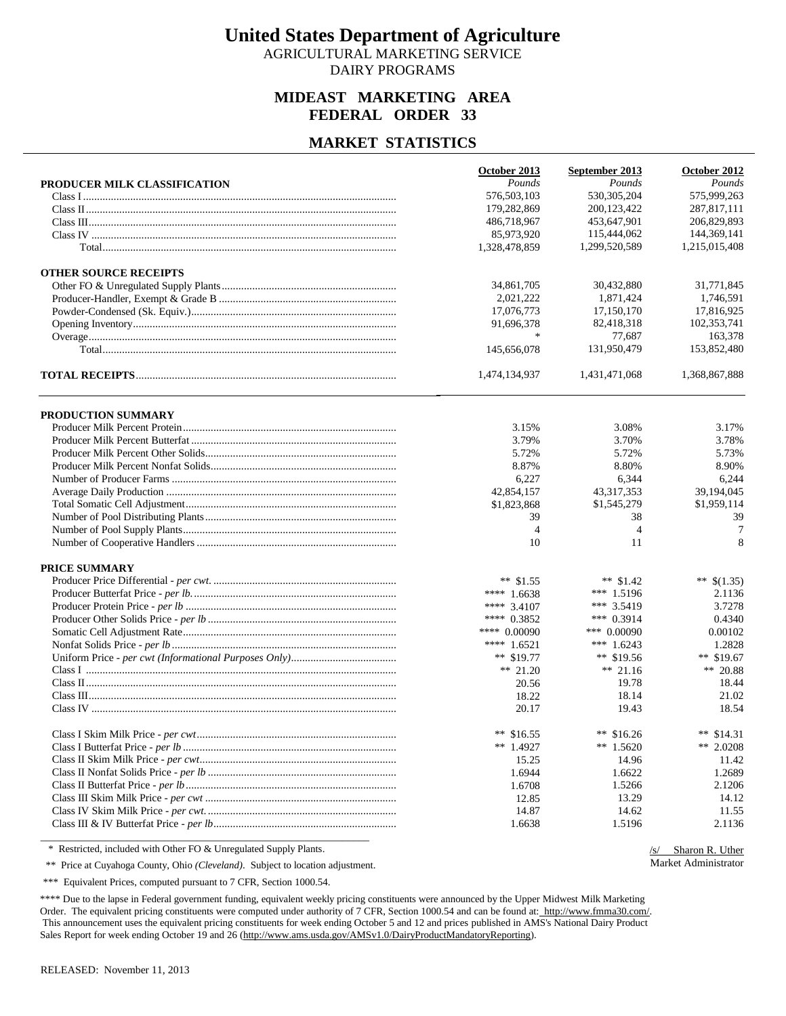AGRICULTURAL MARKETING SERVICE DAIRY PROGRAMS

### **MIDEAST MARKETING AREA FEDERAL ORDER 33**

#### **MARKET STATISTICS**

|                              | October 2013   | September 2013 | October 2012  |
|------------------------------|----------------|----------------|---------------|
| PRODUCER MILK CLASSIFICATION | Pounds         | Pounds         | Pounds        |
|                              | 576,503,103    | 530, 305, 204  | 575,999,263   |
|                              | 179,282,869    | 200, 123, 422  | 287,817,111   |
|                              | 486,718,967    | 453,647,901    | 206,829,893   |
|                              | 85,973,920     | 115,444,062    | 144,369,141   |
|                              | 1,328,478,859  | 1,299,520,589  | 1,215,015,408 |
| <b>OTHER SOURCE RECEIPTS</b> |                |                |               |
|                              | 34,861,705     | 30,432,880     | 31,771,845    |
|                              | 2,021,222      | 1,871,424      | 1,746,591     |
|                              | 17,076,773     | 17,150,170     | 17,816,925    |
|                              | 91,696,378     | 82,418,318     | 102,353,741   |
|                              | $\ast$         | 77.687         | 163,378       |
|                              | 145,656,078    | 131,950,479    | 153,852,480   |
|                              | 1,474,134,937  | 1,431,471,068  | 1,368,867,888 |
| <b>PRODUCTION SUMMARY</b>    |                |                |               |
|                              | 3.15%          | 3.08%          | 3.17%         |
|                              | 3.79%          | 3.70%          | 3.78%         |
|                              | 5.72%          | 5.72%          | 5.73%         |
|                              | 8.87%          | 8.80%          | 8.90%         |
|                              | 6,227          | 6,344          | 6,244         |
|                              | 42,854,157     | 43, 317, 353   | 39,194,045    |
|                              | \$1,823,868    | \$1,545,279    | \$1,959,114   |
|                              | 39             | 38             | 39            |
|                              | $\overline{4}$ | $\overline{4}$ | 7             |
|                              | 10             | 11             | 8             |
| PRICE SUMMARY                |                |                |               |
|                              | $**$ \$1.55    | ** $$1.42$     | ** $$(1.35)$  |
|                              | **** $1.6638$  | *** 1.5196     | 2.1136        |
|                              | **** 3.4107    | *** 3.5419     | 3.7278        |
|                              | **** 0.3852    | *** $0.3914$   | 0.4340        |
|                              | **** 0.00090   | *** 0.00090    | 0.00102       |
|                              | **** $1.6521$  | *** $1.6243$   | 1.2828        |
|                              | ** $$19.77$    | ** $$19.56$    | ** $$19.67$   |
|                              | ** 21.20       | ** 21.16       | ** 20.88      |
|                              | 20.56          | 19.78          | 18.44         |
|                              | 18.22          | 18.14          | 21.02         |
|                              | 20.17          | 19.43          | 18.54         |
|                              | ** $$16.55$    | ** $$16.26$    | ** $$14.31$   |
|                              | ** $1.4927$    | ** $1.5620$    | ** 2.0208     |
|                              | 15.25          | 14.96          | 11.42         |
|                              | 1.6944         | 1.6622         | 1.2689        |
|                              | 1.6708         | 1.5266         | 2.1206        |
|                              | 12.85          | 13.29          | 14.12         |
|                              | 14.87          | 14.62          | 11.55         |
|                              | 1.6638         | 1.5196         | 2.1136        |

\* Restricted, included with Other FO & Unregulated Supply Plants.

/s/ Sharon R. Uther Market Administrator

\*\* Price at Cuyahoga County, Ohio *(Cleveland)*. Subject to location adjustment.

\*\*\* Equivalent Prices, computed pursuant to 7 CFR, Section 1000.54.

\*\*\*\* Due to the lapse in Federal government funding, equivalent weekly pricing constituents were announced by the Upper Midwest Milk Marketing Order. The equivalent pricing constituents were computed under authority of 7 CFR, Section 1000.54 and can be found at: http://www.fmma30.com/. This announcement uses the equivalent pricing constituents for week ending October 5 and 12 and prices published in AMS's National Dairy Product Sales Report for week ending October 19 and 26 (http://www.ams.usda.gov/AMSv1.0/DairyProductMandatoryReporting).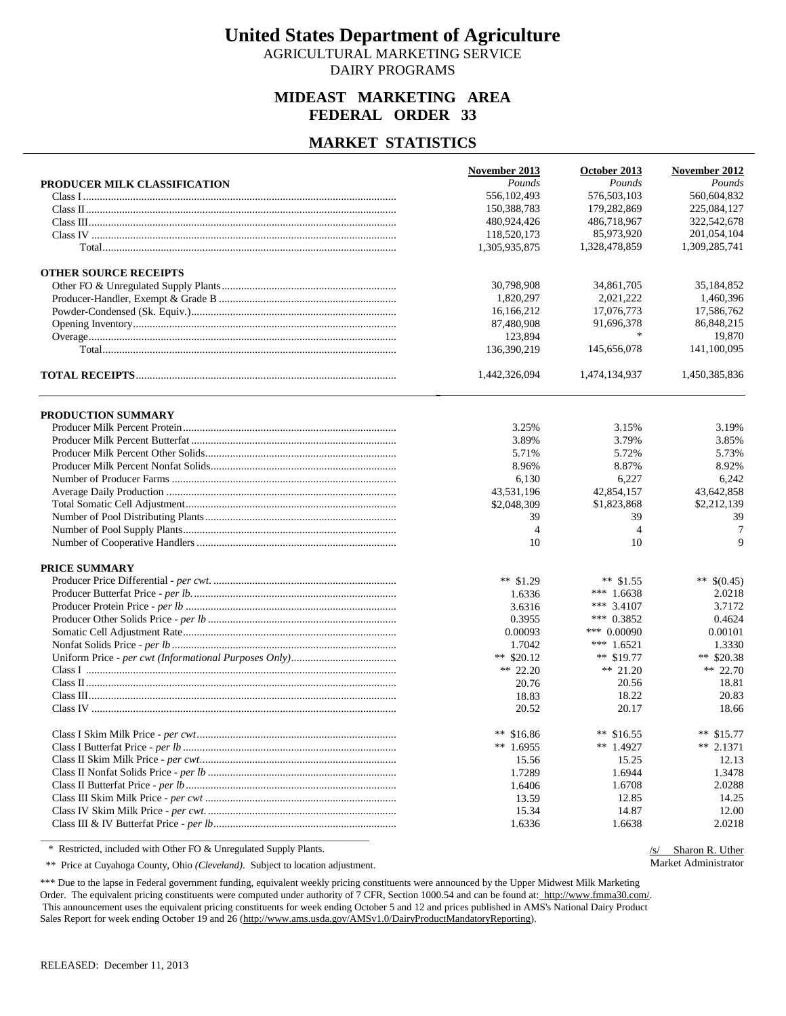AGRICULTURAL MARKETING SERVICE DAIRY PROGRAMS

### **MIDEAST MARKETING AREA FEDERAL ORDER 33**

#### **MARKET STATISTICS**

|                              | November 2013  | October 2013   | November 2012 |
|------------------------------|----------------|----------------|---------------|
| PRODUCER MILK CLASSIFICATION | Pounds         | Pounds         | Pounds        |
|                              | 556,102,493    | 576,503,103    | 560,604,832   |
|                              | 150,388,783    | 179,282,869    | 225,084,127   |
|                              | 480,924,426    | 486,718,967    | 322,542,678   |
|                              | 118,520,173    | 85,973,920     | 201,054,104   |
|                              | 1,305,935,875  | 1,328,478,859  | 1,309,285,741 |
| <b>OTHER SOURCE RECEIPTS</b> |                |                |               |
|                              | 30,798,908     | 34,861,705     | 35,184,852    |
|                              | 1,820,297      | 2,021,222      | 1.460.396     |
|                              | 16,166,212     | 17,076,773     | 17,586,762    |
|                              | 87,480,908     | 91,696,378     | 86,848,215    |
|                              | 123,894        | $\ast$         | 19,870        |
|                              | 136,390,219    | 145,656,078    | 141,100,095   |
|                              | 1,442,326,094  | 1,474,134,937  | 1,450,385,836 |
| PRODUCTION SUMMARY           |                |                |               |
|                              | 3.25%          | 3.15%          | 3.19%         |
|                              | 3.89%          | 3.79%          | 3.85%         |
|                              | 5.71%          | 5.72%          | 5.73%         |
|                              | 8.96%          | 8.87%          | 8.92%         |
|                              | 6,130          | 6,227          | 6,242         |
|                              | 43,531,196     | 42,854,157     | 43,642,858    |
|                              | \$2,048,309    | \$1,823,868    | \$2,212,139   |
|                              | 39             | 39             | 39            |
|                              | $\overline{4}$ | $\overline{4}$ | 7             |
|                              | 10             | 10             | 9             |
| <b>PRICE SUMMARY</b>         |                |                |               |
|                              | ** $$1.29$     | ** $$1.55$     | ** $$(0.45)$  |
|                              | 1.6336         | *** $1.6638$   | 2.0218        |
|                              | 3.6316         | *** 3.4107     | 3.7172        |
|                              | 0.3955         | *** $0.3852$   | 0.4624        |
|                              | 0.00093        | *** 0.00090    | 0.00101       |
|                              | 1.7042         | *** $1.6521$   | 1.3330        |
|                              | ** $$20.12$    | ** $$19.77$    | ** $$20.38$   |
|                              | ** 22.20       | ** $21.20$     | $** 22.70$    |
|                              | 20.76          | 20.56          | 18.81         |
|                              | 18.83          | 18.22          | 20.83         |
|                              | 20.52          | 20.17          | 18.66         |
|                              | ** $$16.86$    | ** $$16.55$    | ** $$15.77$   |
|                              | ** $1.6955$    | ** $1.4927$    | $** 2.1371$   |
|                              | 15.56          | 15.25          | 12.13         |
|                              | 1.7289         | 1.6944         | 1.3478        |
|                              | 1.6406         | 1.6708         | 2.0288        |
|                              | 13.59          | 12.85          | 14.25         |
|                              | 15.34          | 14.87          | 12.00         |
|                              | 1.6336         | 1.6638         | 2.0218        |

\* Restricted, included with Other FO & Unregulated Supply Plants.

/s/ Sharon R. Uther Market Administrator

\*\* Price at Cuyahoga County, Ohio *(Cleveland)*. Subject to location adjustment.

\*\*\* Due to the lapse in Federal government funding, equivalent weekly pricing constituents were announced by the Upper Midwest Milk Marketing Order. The equivalent pricing constituents were computed under authority of 7 CFR, Section 1000.54 and can be found at: http://www.fmma30.com/. This announcement uses the equivalent pricing constituents for week ending October 5 and 12 and prices published in AMS's National Dairy Product Sales Report for week ending October 19 and 26 (http://www.ams.usda.gov/AMSv1.0/DairyProductMandatoryReporting).